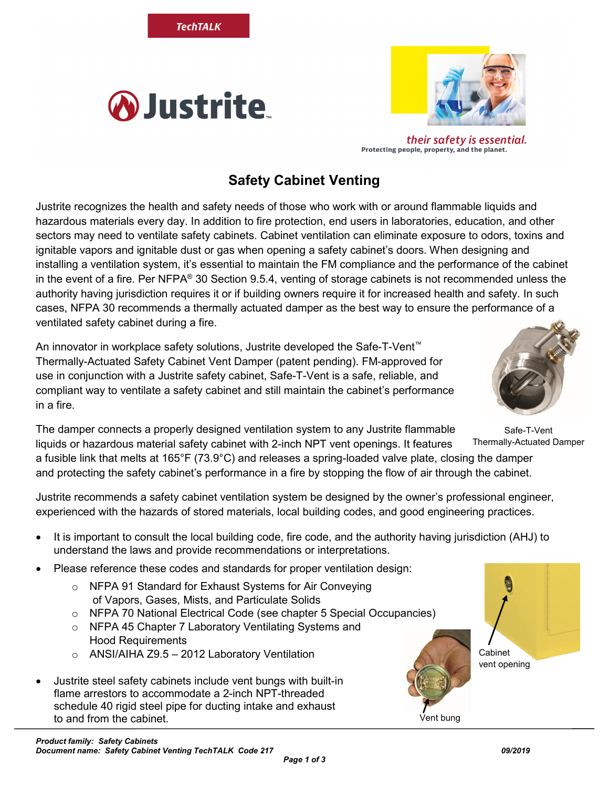*Page 1 of 3*

## Protecting people, property, and the planet.

## **Safety Cabinet Venting**

Justrite recognizes the health and safety needs of those who work with or around flammable liquids and hazardous materials every day. In addition to fire protection, end users in laboratories, education, and other sectors may need to ventilate safety cabinets. Cabinet ventilation can eliminate exposure to odors, toxins and ignitable vapors and ignitable dust or gas when opening a safety cabinet's doors. When designing and installing a ventilation system, it's essential to maintain the FM compliance and the performance of the cabinet in the event of a fire. Per NFPA® 30 Section 9.5.4, venting of storage cabinets is not recommended unless the authority having jurisdiction requires it or if building owners require it for increased health and safety. In such cases, NFPA 30 recommends a thermally actuated damper as the best way to ensure the performance of a ventilated safety cabinet during a fire.

An innovator in workplace safety solutions, Justrite developed the Safe-T-Vent™ Thermally-Actuated Safety Cabinet Vent Damper (patent pending). FM-approved for use in conjunction with a Justrite safety cabinet, Safe-T-Vent is a safe, reliable, and compliant way to ventilate a safety cabinet and still maintain the cabinet's performance in a fire.

**TechTALK** 

*A*Justrite

Safe-T-Vent The damper connects a properly designed ventilation system to any Justrite flammable liquids or hazardous material safety cabinet with 2-inch NPT vent openings. It features a fusible link that melts at 165°F (73.9°C) and releases a spring-loaded valve plate, closing the damper and protecting the safety cabinet's performance in a fire by stopping the flow of air through the cabinet.

Justrite recommends a safety cabinet ventilation system be designed by the owner's professional engineer, experienced with the hazards of stored materials, local building codes, and good engineering practices.

- It is important to consult the local building code, fire code, and the authority having jurisdiction (AHJ) to understand the laws and provide recommendations or interpretations.
- Please reference these codes and standards for proper ventilation design:
	- o NFPA 91 Standard for Exhaust Systems for Air Conveying of Vapors, Gases, Mists, and Particulate Solids
	- o NFPA 70 National Electrical Code (see chapter 5 Special Occupancies)
	- o NFPA 45 Chapter 7 Laboratory Ventilating Systems and Hood Requirements
	- o ANSI/AIHA Z9.5 2012 Laboratory Ventilation
- Justrite steel safety cabinets include vent bungs with built-in flame arrestors to accommodate a 2-inch NPT-threaded schedule 40 rigid steel pipe for ducting intake and exhaust to and from the cabinet. The set of the set of the set of the set of the set of the set of the set of the set o



their safety is essential.





Thermally-Actuated Damper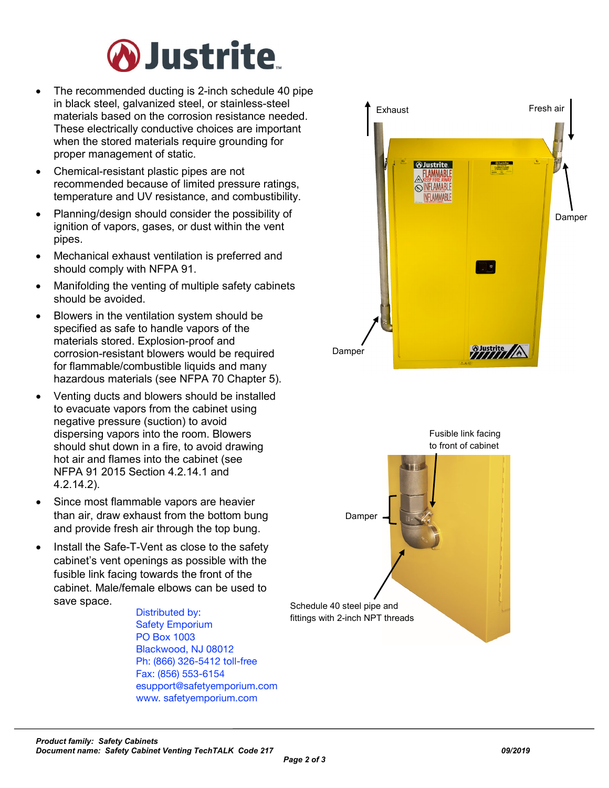

- The recommended ducting is 2-inch schedule 40 pipe in black steel, galvanized steel, or stainless-steel materials based on the corrosion resistance needed. These electrically conductive choices are important when the stored materials require grounding for proper management of static.
- Chemical-resistant plastic pipes are not recommended because of limited pressure ratings, temperature and UV resistance, and combustibility.
- Planning/design should consider the possibility of ignition of vapors, gases, or dust within the vent pipes.
- Mechanical exhaust ventilation is preferred and should comply with NFPA 91.
- Manifolding the venting of multiple safety cabinets should be avoided.
- Blowers in the ventilation system should be specified as safe to handle vapors of the materials stored. Explosion-proof and corrosion-resistant blowers would be required for flammable/combustible liquids and many hazardous materials (see NFPA 70 Chapter 5).
- Venting ducts and blowers should be installed to evacuate vapors from the cabinet using negative pressure (suction) to avoid dispersing vapors into the room. Blowers should shut down in a fire, to avoid drawing hot air and flames into the cabinet (see NFPA 91 2015 Section 4.2.14.1 and 4.2.14.2).
- Since most flammable vapors are heavier than air, draw exhaust from the bottom bung and provide fresh air through the top bung.
- Install the Safe-T-Vent as close to the safety cabinet's vent openings as possible with the fusible link facing towards the front of the cabinet. Male/female elbows can be used to save space.

Distributed by: Safety Emporium PO Box 1003 Blackwood, NJ 08012 Ph: (866) 326-5412 toll-free Fax: (856) 553-6154 esupport@safetyemporium.com www. safetyemporium.com